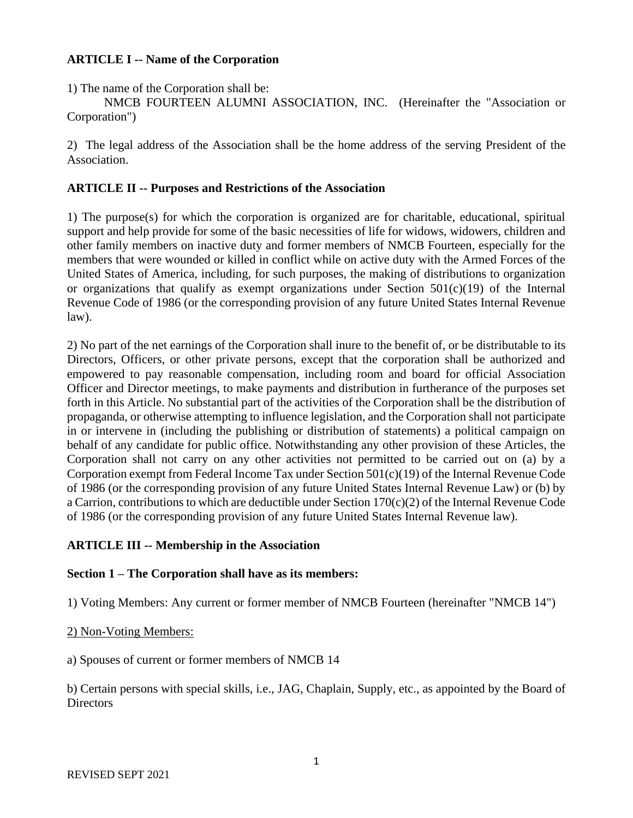# **ARTICLE I -- Name of the Corporation**

1) The name of the Corporation shall be:

NMCB FOURTEEN ALUMNI ASSOCIATION, INC. (Hereinafter the "Association or Corporation")

2) The legal address of the Association shall be the home address of the serving President of the Association.

# **ARTICLE II -- Purposes and Restrictions of the Association**

1) The purpose(s) for which the corporation is organized are for charitable, educational, spiritual support and help provide for some of the basic necessities of life for widows, widowers, children and other family members on inactive duty and former members of NMCB Fourteen, especially for the members that were wounded or killed in conflict while on active duty with the Armed Forces of the United States of America, including, for such purposes, the making of distributions to organization or organizations that qualify as exempt organizations under Section  $501(c)(19)$  of the Internal Revenue Code of 1986 (or the corresponding provision of any future United States Internal Revenue law).

2) No part of the net earnings of the Corporation shall inure to the benefit of, or be distributable to its Directors, Officers, or other private persons, except that the corporation shall be authorized and empowered to pay reasonable compensation, including room and board for official Association Officer and Director meetings, to make payments and distribution in furtherance of the purposes set forth in this Article. No substantial part of the activities of the Corporation shall be the distribution of propaganda, or otherwise attempting to influence legislation, and the Corporation shall not participate in or intervene in (including the publishing or distribution of statements) a political campaign on behalf of any candidate for public office. Notwithstanding any other provision of these Articles, the Corporation shall not carry on any other activities not permitted to be carried out on (a) by a Corporation exempt from Federal Income Tax under Section 501(c)(19) of the Internal Revenue Code of 1986 (or the corresponding provision of any future United States Internal Revenue Law) or (b) by a Carrion, contributions to which are deductible under Section 170(c)(2) of the Internal Revenue Code of 1986 (or the corresponding provision of any future United States Internal Revenue law).

# **ARTICLE III -- Membership in the Association**

## **Section 1 – The Corporation shall have as its members:**

1) Voting Members: Any current or former member of NMCB Fourteen (hereinafter "NMCB 14")

## 2) Non-Voting Members:

a) Spouses of current or former members of NMCB 14

b) Certain persons with special skills, i.e., JAG, Chaplain, Supply, etc., as appointed by the Board of **Directors**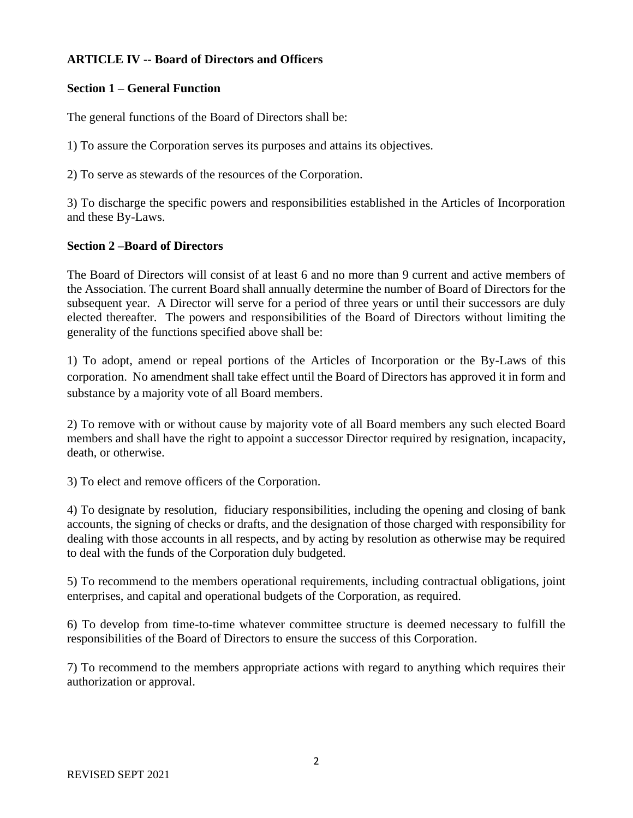# **ARTICLE IV -- Board of Directors and Officers**

# **Section 1 – General Function**

The general functions of the Board of Directors shall be:

1) To assure the Corporation serves its purposes and attains its objectives.

2) To serve as stewards of the resources of the Corporation.

3) To discharge the specific powers and responsibilities established in the Articles of Incorporation and these By-Laws.

# **Section 2 –Board of Directors**

The Board of Directors will consist of at least 6 and no more than 9 current and active members of the Association. The current Board shall annually determine the number of Board of Directors for the subsequent year. A Director will serve for a period of three years or until their successors are duly elected thereafter. The powers and responsibilities of the Board of Directors without limiting the generality of the functions specified above shall be:

1) To adopt, amend or repeal portions of the Articles of Incorporation or the By-Laws of this corporation. No amendment shall take effect until the Board of Directors has approved it in form and substance by a majority vote of all Board members.

2) To remove with or without cause by majority vote of all Board members any such elected Board members and shall have the right to appoint a successor Director required by resignation, incapacity, death, or otherwise.

3) To elect and remove officers of the Corporation.

4) To designate by resolution, fiduciary responsibilities, including the opening and closing of bank accounts, the signing of checks or drafts, and the designation of those charged with responsibility for dealing with those accounts in all respects, and by acting by resolution as otherwise may be required to deal with the funds of the Corporation duly budgeted.

5) To recommend to the members operational requirements, including contractual obligations, joint enterprises, and capital and operational budgets of the Corporation, as required.

6) To develop from time-to-time whatever committee structure is deemed necessary to fulfill the responsibilities of the Board of Directors to ensure the success of this Corporation.

7) To recommend to the members appropriate actions with regard to anything which requires their authorization or approval.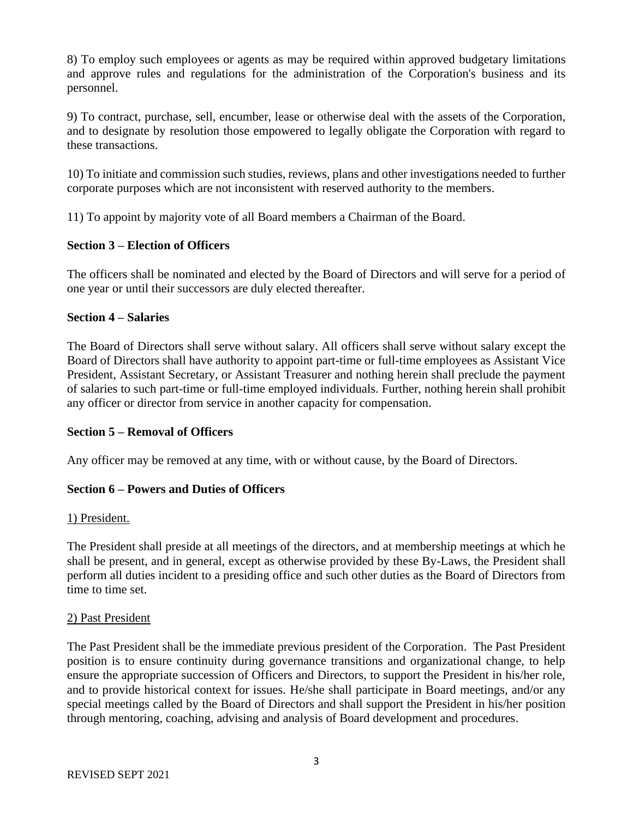8) To employ such employees or agents as may be required within approved budgetary limitations and approve rules and regulations for the administration of the Corporation's business and its personnel.

9) To contract, purchase, sell, encumber, lease or otherwise deal with the assets of the Corporation, and to designate by resolution those empowered to legally obligate the Corporation with regard to these transactions.

10) To initiate and commission such studies, reviews, plans and other investigations needed to further corporate purposes which are not inconsistent with reserved authority to the members.

11) To appoint by majority vote of all Board members a Chairman of the Board.

# **Section 3 – Election of Officers**

The officers shall be nominated and elected by the Board of Directors and will serve for a period of one year or until their successors are duly elected thereafter.

## **Section 4 – Salaries**

The Board of Directors shall serve without salary. All officers shall serve without salary except the Board of Directors shall have authority to appoint part-time or full-time employees as Assistant Vice President, Assistant Secretary, or Assistant Treasurer and nothing herein shall preclude the payment of salaries to such part-time or full-time employed individuals. Further, nothing herein shall prohibit any officer or director from service in another capacity for compensation.

## **Section 5 – Removal of Officers**

Any officer may be removed at any time, with or without cause, by the Board of Directors.

# **Section 6 – Powers and Duties of Officers**

## 1) President.

The President shall preside at all meetings of the directors, and at membership meetings at which he shall be present, and in general, except as otherwise provided by these By-Laws, the President shall perform all duties incident to a presiding office and such other duties as the Board of Directors from time to time set.

## 2) Past President

The Past President shall be the immediate previous president of the Corporation. The Past President position is to ensure continuity during governance transitions and organizational change, to help ensure the appropriate succession of Officers and Directors, to support the President in his/her role, and to provide historical context for issues. He/she shall participate in Board meetings, and/or any special meetings called by the Board of Directors and shall support the President in his/her position through mentoring, coaching, advising and analysis of Board development and procedures.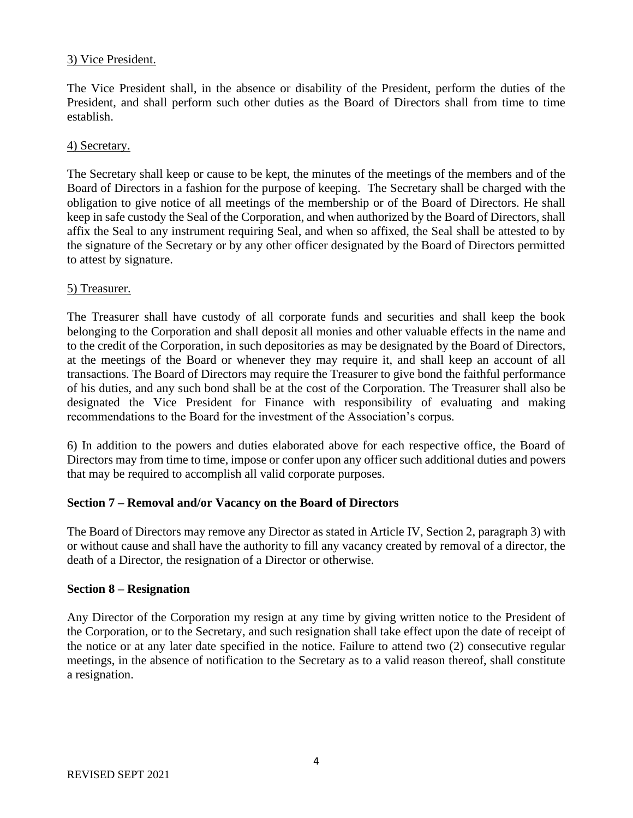# 3) Vice President.

The Vice President shall, in the absence or disability of the President, perform the duties of the President, and shall perform such other duties as the Board of Directors shall from time to time establish.

### 4) Secretary.

The Secretary shall keep or cause to be kept, the minutes of the meetings of the members and of the Board of Directors in a fashion for the purpose of keeping. The Secretary shall be charged with the obligation to give notice of all meetings of the membership or of the Board of Directors. He shall keep in safe custody the Seal of the Corporation, and when authorized by the Board of Directors, shall affix the Seal to any instrument requiring Seal, and when so affixed, the Seal shall be attested to by the signature of the Secretary or by any other officer designated by the Board of Directors permitted to attest by signature.

#### 5) Treasurer.

The Treasurer shall have custody of all corporate funds and securities and shall keep the book belonging to the Corporation and shall deposit all monies and other valuable effects in the name and to the credit of the Corporation, in such depositories as may be designated by the Board of Directors, at the meetings of the Board or whenever they may require it, and shall keep an account of all transactions. The Board of Directors may require the Treasurer to give bond the faithful performance of his duties, and any such bond shall be at the cost of the Corporation. The Treasurer shall also be designated the Vice President for Finance with responsibility of evaluating and making recommendations to the Board for the investment of the Association's corpus.

6) In addition to the powers and duties elaborated above for each respective office, the Board of Directors may from time to time, impose or confer upon any officer such additional duties and powers that may be required to accomplish all valid corporate purposes.

## **Section 7 – Removal and/or Vacancy on the Board of Directors**

The Board of Directors may remove any Director as stated in Article IV, Section 2, paragraph 3) with or without cause and shall have the authority to fill any vacancy created by removal of a director, the death of a Director, the resignation of a Director or otherwise.

#### **Section 8 – Resignation**

Any Director of the Corporation my resign at any time by giving written notice to the President of the Corporation, or to the Secretary, and such resignation shall take effect upon the date of receipt of the notice or at any later date specified in the notice. Failure to attend two (2) consecutive regular meetings, in the absence of notification to the Secretary as to a valid reason thereof, shall constitute a resignation.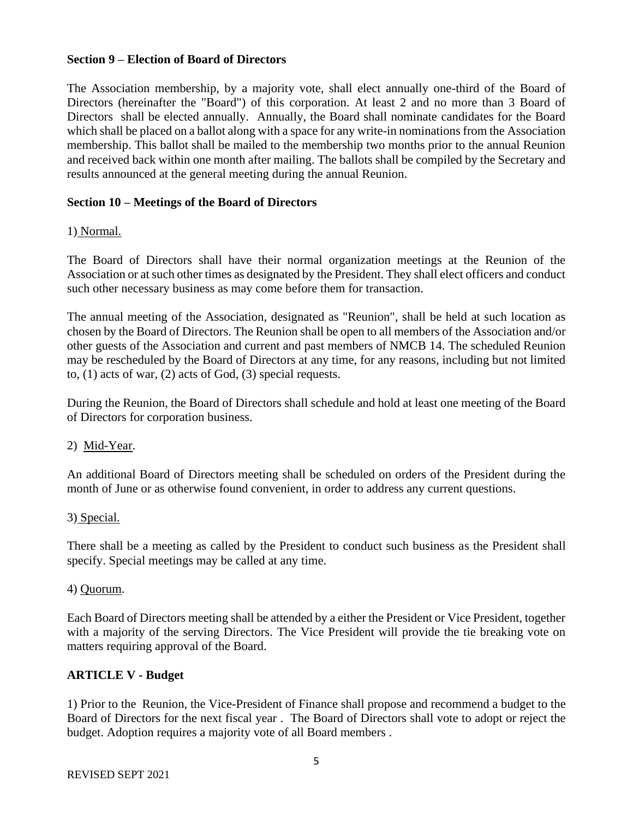## **Section 9 – Election of Board of Directors**

The Association membership, by a majority vote, shall elect annually one-third of the Board of Directors (hereinafter the "Board") of this corporation. At least 2 and no more than 3 Board of Directors shall be elected annually. Annually, the Board shall nominate candidates for the Board which shall be placed on a ballot along with a space for any write-in nominations from the Association membership. This ballot shall be mailed to the membership two months prior to the annual Reunion and received back within one month after mailing. The ballots shall be compiled by the Secretary and results announced at the general meeting during the annual Reunion.

# **Section 10 – Meetings of the Board of Directors**

# 1) Normal.

The Board of Directors shall have their normal organization meetings at the Reunion of the Association or at such other times as designated by the President. They shall elect officers and conduct such other necessary business as may come before them for transaction.

The annual meeting of the Association, designated as "Reunion", shall be held at such location as chosen by the Board of Directors. The Reunion shall be open to all members of the Association and/or other guests of the Association and current and past members of NMCB 14. The scheduled Reunion may be rescheduled by the Board of Directors at any time, for any reasons, including but not limited to, (1) acts of war, (2) acts of God, (3) special requests.

During the Reunion, the Board of Directors shall schedule and hold at least one meeting of the Board of Directors for corporation business.

## 2) Mid-Year.

An additional Board of Directors meeting shall be scheduled on orders of the President during the month of June or as otherwise found convenient, in order to address any current questions.

## 3) Special.

There shall be a meeting as called by the President to conduct such business as the President shall specify. Special meetings may be called at any time.

## 4) Quorum.

Each Board of Directors meeting shall be attended by a either the President or Vice President, together with a majority of the serving Directors. The Vice President will provide the tie breaking vote on matters requiring approval of the Board.

# **ARTICLE V - Budget**

1) Prior to the Reunion, the Vice-President of Finance shall propose and recommend a budget to the Board of Directors for the next fiscal year . The Board of Directors shall vote to adopt or reject the budget. Adoption requires a majority vote of all Board members .